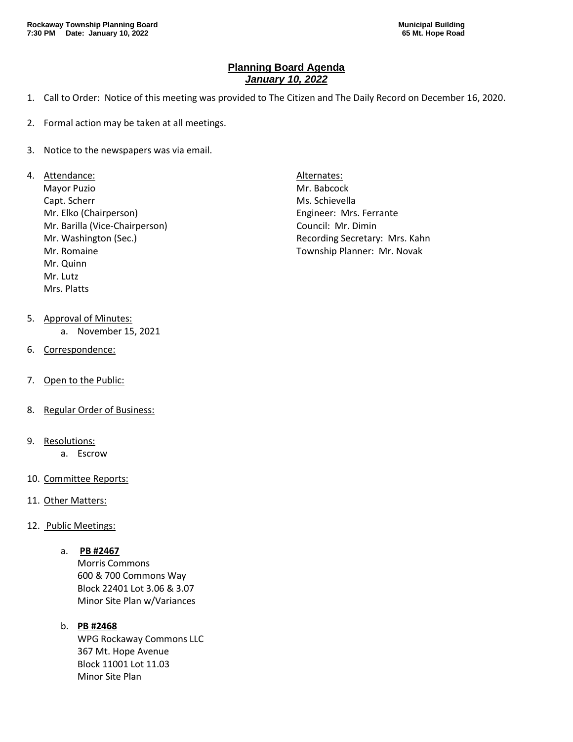## **Planning Board Agenda** *January 10, 2022*

- 1. Call to Order: Notice of this meeting was provided to The Citizen and The Daily Record on December 16, 2020.
- 2. Formal action may be taken at all meetings.
- 3. Notice to the newspapers was via email.
- 4. Attendance: Alternates: Alternates: Alternates:
	- Mayor Puzio **Mr. Babcock** Capt. Scherr Ms. Schievella Mr. Elko (Chairperson) Engineer: Mrs. Ferrante Mr. Barilla (Vice-Chairperson) Council: Mr. Dimin Mr. Romaine Township Planner: Mr. Novak Mr. Quinn Mr. Lutz Mrs. Platts
- 5. Approval of Minutes:
	- a. November 15, 2021
- 6. Correspondence:
- 7. Open to the Public:
- 8. Regular Order of Business:
- 9. Resolutions:
	- a. Escrow
- 10. Committee Reports:
- 11. Other Matters:
- 12. Public Meetings:
	- a. **PB #2467**

Morris Commons 600 & 700 Commons Way Block 22401 Lot 3.06 & 3.07 Minor Site Plan w/Variances

## b. **PB #2468**

WPG Rockaway Commons LLC 367 Mt. Hope Avenue Block 11001 Lot 11.03 Minor Site Plan

Mr. Washington (Sec.) The Controller of the Recording Secretary: Mrs. Kahn